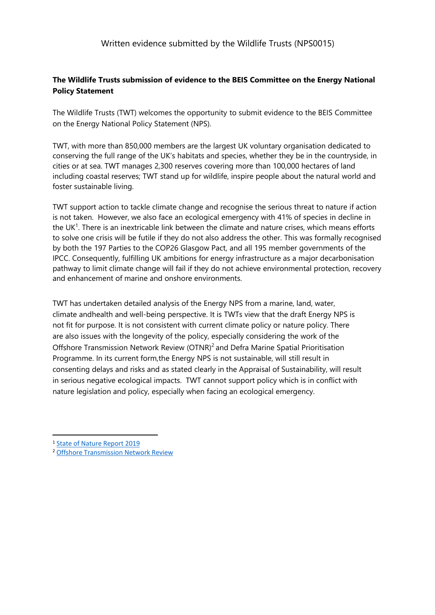# **The Wildlife Trusts submission of evidence to the BEIS Committee on the Energy National Policy Statement**

The Wildlife Trusts (TWT) welcomes the opportunity to submit evidence to the BEIS Committee on the Energy National Policy Statement (NPS).

TWT, with more than 850,000 members are the largest UK voluntary organisation dedicated to conserving the full range of the UK's habitats and species, whether they be in the countryside, in cities or at sea. TWT manages 2,300 reserves covering more than 100,000 hectares of land including coastal reserves; TWT stand up for wildlife, inspire people about the natural world and foster sustainable living.

TWT support action to tackle climate change and recognise the serious threat to nature if action is not taken. However, we also face an ecological emergency with 41% of species in decline in the UK<sup>1</sup>. There is an inextricable link between the climate and nature crises, which means efforts to solve one crisis will be futile if they do not also address the other. This was formally recognised by both the 197 Parties to the COP26 Glasgow Pact, and all 195 member governments of the IPCC. Consequently, fulfilling UK ambitions for energy infrastructure as a major decarbonisation pathway to limit climate change will fail if they do not achieve environmental protection, recovery and enhancement of marine and onshore environments.

TWT has undertaken detailed analysis of the Energy NPS from a marine, land, water, climate andhealth and well-being perspective. It is TWTs view that the draft Energy NPS is not fit for purpose. It is not consistent with current climate policy or nature policy. There are also issues with the longevity of the policy, especially considering the work of the Offshore Transmission Network Review (OTNR)<sup>2</sup> and Defra Marine Spatial Prioritisation Programme. In its current form,the Energy NPS is not sustainable, will still result in consenting delays and risks and as stated clearly in the Appraisal of Sustainability, will result in serious negative ecological impacts. TWT cannot support policy which is in conflict with nature legislation and policy, especially when facing an ecological emergency.

<sup>1</sup> [State](https://nbn.org.uk/wp-content/uploads/2019/09/State-of-Nature-2019-UK-full-report.pdf) [of](https://nbn.org.uk/wp-content/uploads/2019/09/State-of-Nature-2019-UK-full-report.pdf) [Nature](https://nbn.org.uk/wp-content/uploads/2019/09/State-of-Nature-2019-UK-full-report.pdf) [Report](https://nbn.org.uk/wp-content/uploads/2019/09/State-of-Nature-2019-UK-full-report.pdf) [2019](https://nbn.org.uk/wp-content/uploads/2019/09/State-of-Nature-2019-UK-full-report.pdf)

<sup>2</sup> [Offshore](https://www.gov.uk/government/groups/offshore-transmission-network-review) [Transmission](https://www.gov.uk/government/groups/offshore-transmission-network-review) [Network](https://www.gov.uk/government/groups/offshore-transmission-network-review) [Review](https://www.gov.uk/government/groups/offshore-transmission-network-review)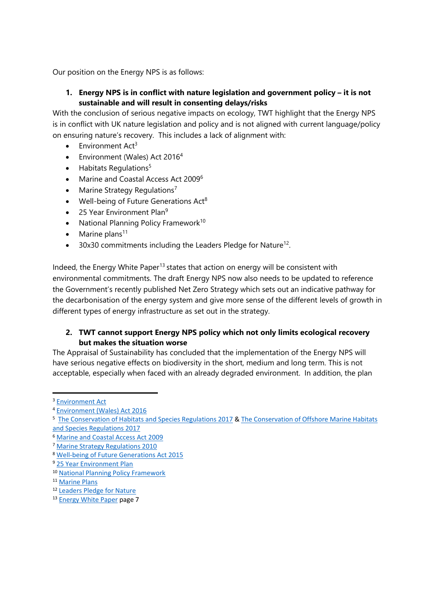Our position on the Energy NPS is as follows:

# **1. Energy NPS is in conflict with nature legislation and government policy – it is not sustainable and will result in consenting delays/risks**

With the conclusion of serious negative impacts on ecology, TWT highlight that the Energy NPS is in conflict with UK nature legislation and policy and is not aligned with current language/policy on ensuring nature's recovery. This includes a lack of alignment with:

- $\bullet$  Environment Act<sup>3</sup>
- Environment (Wales) Act 2016<sup>4</sup>
- $\bullet$  Habitats Regulations<sup>5</sup>
- Marine and Coastal Access Act 2009<sup>6</sup>
- Marine Strategy Regulations<sup>7</sup>
- $\bullet$  Well-being of Future Generations Act<sup>8</sup>
- $\bullet$  25 Year Environment Plan<sup>9</sup>
- National Planning Policy Framework<sup>10</sup>
- $\bullet$  Marine plans<sup>11</sup>
- $\bullet$  30x30 commitments including the Leaders Pledge for Nature<sup>12</sup>.

Indeed, the Energy White Paper<sup>13</sup> states that action on energy will be consistent with environmental commitments. The draft Energy NPS now also needs to be updated to reference the Government's recently published Net Zero Strategy which sets out an indicative pathway for the decarbonisation of the energy system and give more sense of the different levels of growth in different types of energy infrastructure as set out in the strategy.

#### **2. TWT cannot support Energy NPS policy which not only limits ecological recovery but makes the situation worse**

The Appraisal of Sustainability has concluded that the implementation of the Energy NPS will have serious negative effects on biodiversity in the short, medium and long term. This is not acceptable, especially when faced with an already degraded environment. In addition, the plan

<sup>3</sup> [Environment](https://www.legislation.gov.uk/ukpga/2021/30/contents/enacted) [Act](https://www.legislation.gov.uk/ukpga/2021/30/contents/enacted)

<sup>4</sup> [Environment](https://www.legislation.gov.uk/anaw/2016/3/contents/enacted) [\(Wales\)](https://www.legislation.gov.uk/anaw/2016/3/contents/enacted) [Act](https://www.legislation.gov.uk/anaw/2016/3/contents/enacted) [2016](https://www.legislation.gov.uk/anaw/2016/3/contents/enacted)

<sup>&</sup>lt;sup>5</sup> [The](https://www.legislation.gov.uk/uksi/2017/1013/contents/made) [Conservation](https://www.legislation.gov.uk/uksi/2017/1013/contents/made) [of](https://www.legislation.gov.uk/uksi/2017/1013/contents/made) [Habitats](https://www.legislation.gov.uk/uksi/2017/1013/contents/made) [and](https://www.legislation.gov.uk/uksi/2017/1012/contents/made) [Species](https://www.legislation.gov.uk/uksi/2017/1012/contents/made) [Regulations](https://www.legislation.gov.uk/uksi/2017/1012/contents/made) [2017](https://www.legislation.gov.uk/uksi/2017/1012/contents/made) & The Conservation of [Offshore](https://www.legislation.gov.uk/uksi/2017/1013/contents/made) [Marine](https://www.legislation.gov.uk/uksi/2017/1013/contents/made) Habitats [and](https://www.legislation.gov.uk/uksi/2017/1013/contents/made) [Species](https://www.legislation.gov.uk/uksi/2017/1013/contents/made) [Regulations](https://www.legislation.gov.uk/uksi/2017/1013/contents/made) [2017](https://www.legislation.gov.uk/uksi/2017/1013/contents/made)

<sup>6</sup> [Marine](https://www.legislation.gov.uk/ukpga/2009/23/contents) [and](https://www.legislation.gov.uk/ukpga/2009/23/contents) [Coastal](https://www.legislation.gov.uk/ukpga/2009/23/contents) [Access](https://www.legislation.gov.uk/ukpga/2009/23/contents) [Act](https://www.legislation.gov.uk/ukpga/2009/23/contents) [2009](https://www.legislation.gov.uk/ukpga/2009/23/contents)

<sup>7</sup> [Marine](https://www.legislation.gov.uk/uksi/2010/1627/contents/made) [Strategy](https://www.legislation.gov.uk/uksi/2010/1627/contents/made) [Regulations](https://www.legislation.gov.uk/uksi/2010/1627/contents/made) [2010](https://www.legislation.gov.uk/uksi/2010/1627/contents/made)

<sup>8</sup> [Well-being](https://www.legislation.gov.uk/anaw/2015/2/contents) [of](https://www.legislation.gov.uk/anaw/2015/2/contents) [Future](https://www.legislation.gov.uk/anaw/2015/2/contents) [Generations](https://www.legislation.gov.uk/anaw/2015/2/contents) [Act](https://www.legislation.gov.uk/anaw/2015/2/contents) [2015](https://www.legislation.gov.uk/anaw/2015/2/contents)

<sup>9</sup> [25](https://www.gov.uk/government/publications/25-year-environment-plan) [Year](https://www.gov.uk/government/publications/25-year-environment-plan) [Environment](https://www.gov.uk/government/publications/25-year-environment-plan) [Plan](https://www.gov.uk/government/publications/25-year-environment-plan)

<sup>10</sup> [National](https://www.gov.uk/government/publications/national-planning-policy-framework--2) [Planning](https://www.gov.uk/government/publications/national-planning-policy-framework--2) [Policy](https://www.gov.uk/government/publications/national-planning-policy-framework--2) [Framework](https://www.gov.uk/government/publications/national-planning-policy-framework--2)

<sup>11</sup> [Marine](https://www.gov.uk/government/collections/marine-planning-in-england) [Plans](https://www.gov.uk/government/collections/marine-planning-in-england)

<sup>12</sup> [Leaders](https://www.leaderspledgefornature.org/) [Pledge](https://www.leaderspledgefornature.org/) [for](https://www.leaderspledgefornature.org/) [Nature](https://www.leaderspledgefornature.org/)

<sup>13</sup> [Energy](https://assets.publishing.service.gov.uk/government/uploads/system/uploads/attachment_data/file/945899/201216_BEIS_EWP_Command_Paper_Accessible.pdf) [White](https://assets.publishing.service.gov.uk/government/uploads/system/uploads/attachment_data/file/945899/201216_BEIS_EWP_Command_Paper_Accessible.pdf) [Paper](https://assets.publishing.service.gov.uk/government/uploads/system/uploads/attachment_data/file/945899/201216_BEIS_EWP_Command_Paper_Accessible.pdf) [p](https://assets.publishing.service.gov.uk/government/uploads/system/uploads/attachment_data/file/945899/201216_BEIS_EWP_Command_Paper_Accessible.pdf)age 7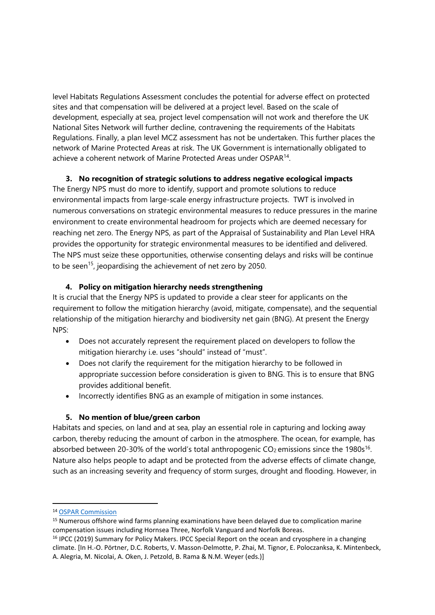level Habitats Regulations Assessment concludes the potential for adverse effect on protected sites and that compensation will be delivered at a project level. Based on the scale of development, especially at sea, project level compensation will not work and therefore the UK National Sites Network will further decline, contravening the requirements of the Habitats Regulations. Finally, a plan level MCZ assessment has not be undertaken. This further places the network of Marine Protected Areas at risk. The UK Government is internationally obligated to achieve a coherent network of Marine Protected Areas under OSPAR<sup>14</sup>.

#### **3. No recognition of strategic solutions to address negative ecological impacts**

The Energy NPS must do more to identify, support and promote solutions to reduce environmental impacts from large-scale energy infrastructure projects. TWT is involved in numerous conversations on strategic environmental measures to reduce pressures in the marine environment to create environmental headroom for projects which are deemed necessary for reaching net zero. The Energy NPS, as part of the Appraisal of Sustainability and Plan Level HRA provides the opportunity for strategic environmental measures to be identified and delivered. The NPS must seize these opportunities, otherwise consenting delays and risks will be continue to be seen<sup>15</sup>, jeopardising the achievement of net zero by 2050.

# **4. Policy on mitigation hierarchy needs strengthening**

It is crucial that the Energy NPS is updated to provide a clear steer for applicants on the requirement to follow the mitigation hierarchy (avoid, mitigate, compensate), and the sequential relationship of the mitigation hierarchy and biodiversity net gain (BNG). At present the Energy NPS:

- Does not accurately represent the requirement placed on developers to follow the mitigation hierarchy i.e. uses "should" instead of "must".
- Does not clarify the requirement for the mitigation hierarchy to be followed in appropriate succession before consideration is given to BNG. This is to ensure that BNG provides additional benefit.
- Incorrectly identifies BNG as an example of mitigation in some instances.

#### **5. No mention of blue/green carbon**

Habitats and species, on land and at sea, play an essential role in capturing and locking away carbon, thereby reducing the amount of carbon in the atmosphere. The ocean, for example, has absorbed between 20-30% of the world's total anthropogenic  $CO<sub>2</sub>$  emissions since the 1980s<sup>16</sup>. Nature also helps people to adapt and be protected from the adverse effects of climate change, such as an increasing severity and frequency of storm surges, drought and flooding. However, in

<sup>14</sup> [OSPAR](https://www.ospar.org/) [Commission](https://www.ospar.org/)

<sup>&</sup>lt;sup>15</sup> Numerous offshore wind farms planning examinations have been delayed due to complication marine compensation issues including Hornsea Three, Norfolk Vanguard and Norfolk Boreas.

<sup>16</sup> IPCC (2019) Summary for Policy Makers. IPCC Special Report on the ocean and cryosphere in a changing climate. [In H.-O. Pörtner, D.C. Roberts, V. Masson-Delmotte, P. Zhai, M. Tignor, E. Poloczanksa, K. Mintenbeck, A. Alegria, M. Nicolai, A. Oken, J. Petzold, B. Rama & N.M. Weyer (eds.)]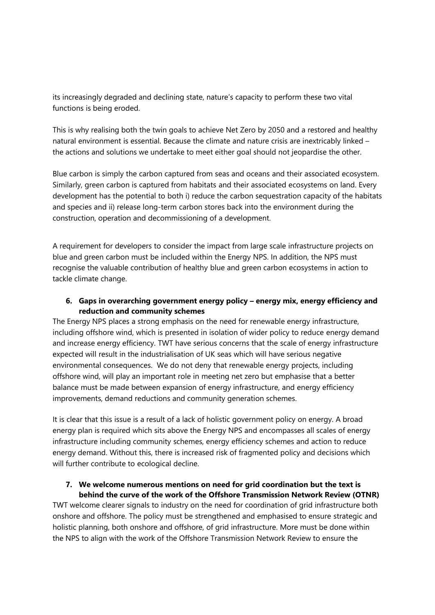its increasingly degraded and declining state, nature's capacity to perform these two vital functions is being eroded.

This is why realising both the twin goals to achieve Net Zero by 2050 and a restored and healthy natural environment is essential. Because the climate and nature crisis are inextricably linked – the actions and solutions we undertake to meet either goal should not jeopardise the other.

Blue carbon is simply the carbon captured from seas and oceans and their associated ecosystem. Similarly, green carbon is captured from habitats and their associated ecosystems on land. Every development has the potential to both i) reduce the carbon sequestration capacity of the habitats and species and ii) release long-term carbon stores back into the environment during the construction, operation and decommissioning of a development.

A requirement for developers to consider the impact from large scale infrastructure projects on blue and green carbon must be included within the Energy NPS. In addition, the NPS must recognise the valuable contribution of healthy blue and green carbon ecosystems in action to tackle climate change.

# **6. Gaps in overarching government energy policy – energy mix, energy efficiency and reduction and community schemes**

The Energy NPS places a strong emphasis on the need for renewable energy infrastructure, including offshore wind, which is presented in isolation of wider policy to reduce energy demand and increase energy efficiency. TWT have serious concerns that the scale of energy infrastructure expected will result in the industrialisation of UK seas which will have serious negative environmental consequences. We do not deny that renewable energy projects, including offshore wind, will play an important role in meeting net zero but emphasise that a better balance must be made between expansion of energy infrastructure, and energy efficiency improvements, demand reductions and community generation schemes.

It is clear that this issue is a result of a lack of holistic government policy on energy. A broad energy plan is required which sits above the Energy NPS and encompasses all scales of energy infrastructure including community schemes, energy efficiency schemes and action to reduce energy demand. Without this, there is increased risk of fragmented policy and decisions which will further contribute to ecological decline.

#### **7. We welcome numerous mentions on need for grid coordination but the text is behind the curve of the work of the Offshore Transmission Network Review (OTNR)**

TWT welcome clearer signals to industry on the need for coordination of grid infrastructure both onshore and offshore. The policy must be strengthened and emphasised to ensure strategic and holistic planning, both onshore and offshore, of grid infrastructure. More must be done within the NPS to align with the work of the Offshore Transmission Network Review to ensure the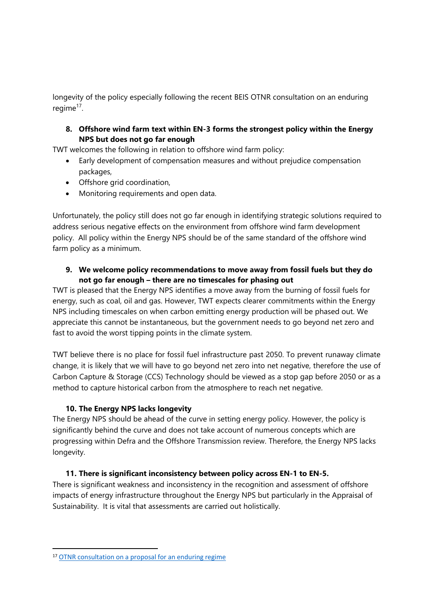longevity of the policy especially following the recent BEIS OTNR consultation on an enduring regime<sup>17</sup>.

**8. Offshore wind farm text within EN-3 forms the strongest policy within the Energy NPS but does not go far enough**

TWT welcomes the following in relation to offshore wind farm policy:

- Early development of compensation measures and without prejudice compensation packages,
- Offshore grid coordination,
- Monitoring requirements and open data.

Unfortunately, the policy still does not go far enough in identifying strategic solutions required to address serious negative effects on the environment from offshore wind farm development policy. All policy within the Energy NPS should be of the same standard of the offshore wind farm policy as a minimum.

### **9. We welcome policy recommendations to move away from fossil fuels but they do not go far enough – there are no timescales for phasing out**

TWT is pleased that the Energy NPS identifies a move away from the burning of fossil fuels for energy, such as coal, oil and gas. However, TWT expects clearer commitments within the Energy NPS including timescales on when carbon emitting energy production will be phased out. We appreciate this cannot be instantaneous, but the government needs to go beyond net zero and fast to avoid the worst tipping points in the climate system.

TWT believe there is no place for fossil fuel infrastructure past 2050. To prevent runaway climate change, it is likely that we will have to go beyond net zero into net negative, therefore the use of Carbon Capture & Storage (CCS) Technology should be viewed as a stop gap before 2050 or as a method to capture historical carbon from the atmosphere to reach net negative.

# **10. The Energy NPS lacks longevity**

The Energy NPS should be ahead of the curve in setting energy policy. However, the policy is significantly behind the curve and does not take account of numerous concepts which are progressing within Defra and the Offshore Transmission review. Therefore, the Energy NPS lacks longevity.

# **11. There is significant inconsistency between policy across EN-1 to EN-5.**

There is significant weakness and inconsistency in the recognition and assessment of offshore impacts of energy infrastructure throughout the Energy NPS but particularly in the Appraisal of Sustainability. It is vital that assessments are carried out holistically.

<sup>17</sup> [OTNR](https://www.gov.uk/government/consultations/offshore-transmission-network-review-proposals-for-an-enduring-regime) [consultation](https://www.gov.uk/government/consultations/offshore-transmission-network-review-proposals-for-an-enduring-regime) [on](https://www.gov.uk/government/consultations/offshore-transmission-network-review-proposals-for-an-enduring-regime) [a](https://www.gov.uk/government/consultations/offshore-transmission-network-review-proposals-for-an-enduring-regime) [proposal](https://www.gov.uk/government/consultations/offshore-transmission-network-review-proposals-for-an-enduring-regime) [for](https://www.gov.uk/government/consultations/offshore-transmission-network-review-proposals-for-an-enduring-regime) [an](https://www.gov.uk/government/consultations/offshore-transmission-network-review-proposals-for-an-enduring-regime) [enduring](https://www.gov.uk/government/consultations/offshore-transmission-network-review-proposals-for-an-enduring-regime) [regime](https://www.gov.uk/government/consultations/offshore-transmission-network-review-proposals-for-an-enduring-regime)